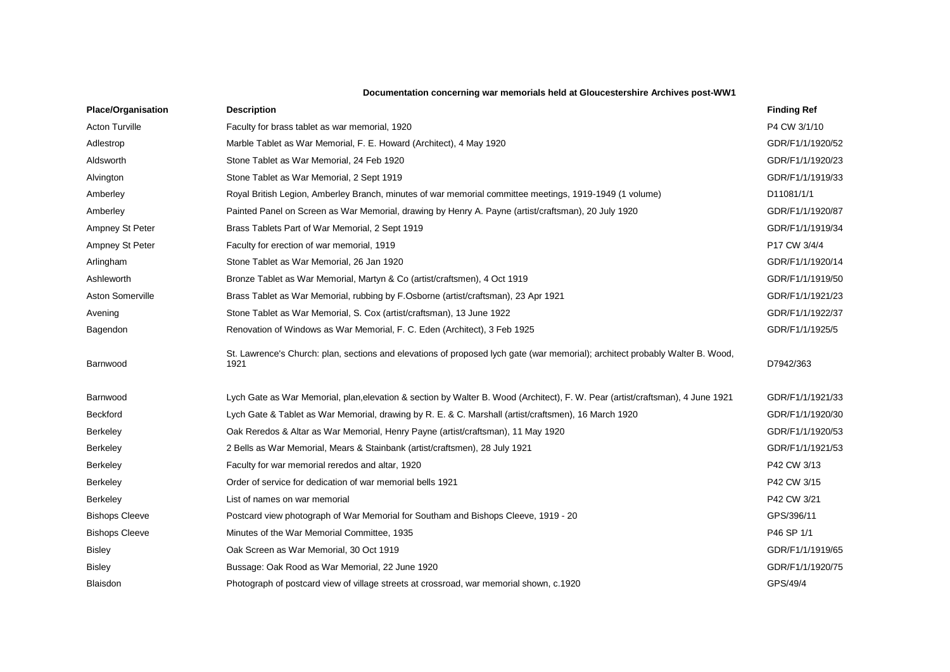## **Documentation concerning war memorials held at Gloucestershire Archives post-WW1**

| <b>Place/Organisation</b> | <b>Description</b>                                                                                                                    | <b>Finding Ref</b> |
|---------------------------|---------------------------------------------------------------------------------------------------------------------------------------|--------------------|
| <b>Acton Turville</b>     | Faculty for brass tablet as war memorial, 1920                                                                                        | P4 CW 3/1/10       |
| Adlestrop                 | Marble Tablet as War Memorial, F. E. Howard (Architect), 4 May 1920                                                                   | GDR/F1/1/1920/52   |
| Aldsworth                 | Stone Tablet as War Memorial, 24 Feb 1920                                                                                             | GDR/F1/1/1920/23   |
| Alvington                 | Stone Tablet as War Memorial, 2 Sept 1919                                                                                             | GDR/F1/1/1919/33   |
| Amberley                  | Royal British Legion, Amberley Branch, minutes of war memorial committee meetings, 1919-1949 (1 volume)                               | D11081/1/1         |
| Amberley                  | Painted Panel on Screen as War Memorial, drawing by Henry A. Payne (artist/craftsman), 20 July 1920                                   | GDR/F1/1/1920/87   |
| Ampney St Peter           | Brass Tablets Part of War Memorial, 2 Sept 1919                                                                                       | GDR/F1/1/1919/34   |
| Ampney St Peter           | Faculty for erection of war memorial, 1919                                                                                            | P17 CW 3/4/4       |
| Arlingham                 | Stone Tablet as War Memorial, 26 Jan 1920                                                                                             | GDR/F1/1/1920/14   |
| Ashleworth                | Bronze Tablet as War Memorial, Martyn & Co (artist/craftsmen), 4 Oct 1919                                                             | GDR/F1/1/1919/50   |
| Aston Somerville          | Brass Tablet as War Memorial, rubbing by F.Osborne (artist/craftsman), 23 Apr 1921                                                    | GDR/F1/1/1921/23   |
| Avening                   | Stone Tablet as War Memorial, S. Cox (artist/craftsman), 13 June 1922                                                                 | GDR/F1/1/1922/37   |
| Bagendon                  | Renovation of Windows as War Memorial, F. C. Eden (Architect), 3 Feb 1925                                                             | GDR/F1/1/1925/5    |
| Barnwood                  | St. Lawrence's Church: plan, sections and elevations of proposed lych gate (war memorial); architect probably Walter B. Wood,<br>1921 | D7942/363          |
| Barnwood                  | Lych Gate as War Memorial, plan, elevation & section by Walter B. Wood (Architect), F. W. Pear (artist/craftsman), 4 June 1921        | GDR/F1/1/1921/33   |
| <b>Beckford</b>           | Lych Gate & Tablet as War Memorial, drawing by R. E. & C. Marshall (artist/craftsmen), 16 March 1920                                  | GDR/F1/1/1920/30   |
| Berkeley                  | Oak Reredos & Altar as War Memorial, Henry Payne (artist/craftsman), 11 May 1920                                                      | GDR/F1/1/1920/53   |
| Berkeley                  | 2 Bells as War Memorial, Mears & Stainbank (artist/craftsmen), 28 July 1921                                                           | GDR/F1/1/1921/53   |
| Berkeley                  | Faculty for war memorial reredos and altar, 1920                                                                                      | P42 CW 3/13        |
| Berkeley                  | Order of service for dedication of war memorial bells 1921                                                                            | P42 CW 3/15        |
| Berkeley                  | List of names on war memorial                                                                                                         | P42 CW 3/21        |
| <b>Bishops Cleeve</b>     | Postcard view photograph of War Memorial for Southam and Bishops Cleeve, 1919 - 20                                                    | GPS/396/11         |
| <b>Bishops Cleeve</b>     | Minutes of the War Memorial Committee, 1935                                                                                           | P46 SP 1/1         |
| <b>Bisley</b>             | Oak Screen as War Memorial, 30 Oct 1919                                                                                               | GDR/F1/1/1919/65   |
| <b>Bisley</b>             | Bussage: Oak Rood as War Memorial, 22 June 1920                                                                                       | GDR/F1/1/1920/75   |
| <b>Blaisdon</b>           | Photograph of postcard view of village streets at crossroad, war memorial shown, c.1920                                               | GPS/49/4           |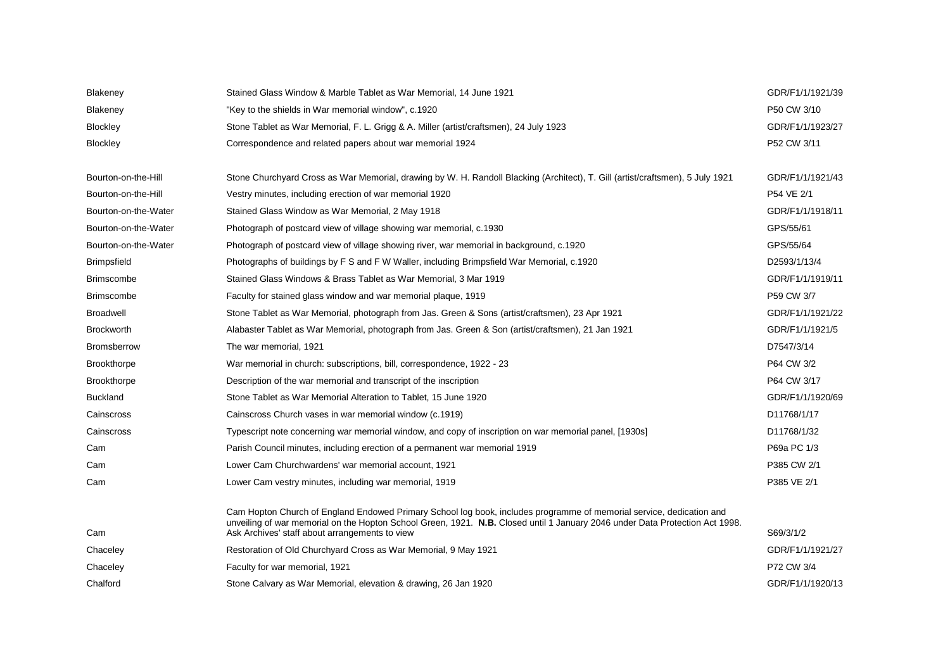| Blakeney             | Stained Glass Window & Marble Tablet as War Memorial, 14 June 1921                                                                                                                                                                                                                                     | GDR/F1/1/1921/39 |
|----------------------|--------------------------------------------------------------------------------------------------------------------------------------------------------------------------------------------------------------------------------------------------------------------------------------------------------|------------------|
| Blakeney             | "Key to the shields in War memorial window", c.1920                                                                                                                                                                                                                                                    | P50 CW 3/10      |
| Blockley             | Stone Tablet as War Memorial, F. L. Grigg & A. Miller (artist/craftsmen), 24 July 1923                                                                                                                                                                                                                 | GDR/F1/1/1923/27 |
| <b>Blockley</b>      | Correspondence and related papers about war memorial 1924                                                                                                                                                                                                                                              | P52 CW 3/11      |
|                      |                                                                                                                                                                                                                                                                                                        |                  |
| Bourton-on-the-Hill  | Stone Churchyard Cross as War Memorial, drawing by W. H. Randoll Blacking (Architect), T. Gill (artist/craftsmen), 5 July 1921                                                                                                                                                                         | GDR/F1/1/1921/43 |
| Bourton-on-the-Hill  | Vestry minutes, including erection of war memorial 1920                                                                                                                                                                                                                                                | P54 VE 2/1       |
| Bourton-on-the-Water | Stained Glass Window as War Memorial, 2 May 1918                                                                                                                                                                                                                                                       | GDR/F1/1/1918/11 |
| Bourton-on-the-Water | Photograph of postcard view of village showing war memorial, c.1930                                                                                                                                                                                                                                    | GPS/55/61        |
| Bourton-on-the-Water | Photograph of postcard view of village showing river, war memorial in background, c.1920                                                                                                                                                                                                               | GPS/55/64        |
| <b>Brimpsfield</b>   | Photographs of buildings by F S and F W Waller, including Brimpsfield War Memorial, c.1920                                                                                                                                                                                                             | D2593/1/13/4     |
| <b>Brimscombe</b>    | Stained Glass Windows & Brass Tablet as War Memorial, 3 Mar 1919                                                                                                                                                                                                                                       | GDR/F1/1/1919/11 |
| <b>Brimscombe</b>    | Faculty for stained glass window and war memorial plaque, 1919                                                                                                                                                                                                                                         | P59 CW 3/7       |
| <b>Broadwell</b>     | Stone Tablet as War Memorial, photograph from Jas. Green & Sons (artist/craftsmen), 23 Apr 1921                                                                                                                                                                                                        | GDR/F1/1/1921/22 |
| <b>Brockworth</b>    | Alabaster Tablet as War Memorial, photograph from Jas. Green & Son (artist/craftsmen), 21 Jan 1921                                                                                                                                                                                                     | GDR/F1/1/1921/5  |
| <b>Bromsberrow</b>   | The war memorial, 1921                                                                                                                                                                                                                                                                                 | D7547/3/14       |
| <b>Brookthorpe</b>   | War memorial in church: subscriptions, bill, correspondence, 1922 - 23                                                                                                                                                                                                                                 | P64 CW 3/2       |
| Brookthorpe          | Description of the war memorial and transcript of the inscription                                                                                                                                                                                                                                      | P64 CW 3/17      |
| <b>Buckland</b>      | Stone Tablet as War Memorial Alteration to Tablet, 15 June 1920                                                                                                                                                                                                                                        | GDR/F1/1/1920/69 |
| Cainscross           | Cainscross Church vases in war memorial window (c.1919)                                                                                                                                                                                                                                                | D11768/1/17      |
| Cainscross           | Typescript note concerning war memorial window, and copy of inscription on war memorial panel, [1930s]                                                                                                                                                                                                 | D11768/1/32      |
| Cam                  | Parish Council minutes, including erection of a permanent war memorial 1919                                                                                                                                                                                                                            | P69a PC 1/3      |
| Cam                  | Lower Cam Churchwardens' war memorial account, 1921                                                                                                                                                                                                                                                    | P385 CW 2/1      |
| Cam                  | Lower Cam vestry minutes, including war memorial, 1919                                                                                                                                                                                                                                                 | P385 VE 2/1      |
| Cam                  | Cam Hopton Church of England Endowed Primary School log book, includes programme of memorial service, dedication and<br>unveiling of war memorial on the Hopton School Green, 1921. N.B. Closed until 1 January 2046 under Data Protection Act 1998.<br>Ask Archives' staff about arrangements to view | S69/3/1/2        |
| Chaceley             | Restoration of Old Churchyard Cross as War Memorial, 9 May 1921                                                                                                                                                                                                                                        | GDR/F1/1/1921/27 |
| Chaceley             | Faculty for war memorial, 1921                                                                                                                                                                                                                                                                         | P72 CW 3/4       |
| Chalford             | Stone Calvary as War Memorial, elevation & drawing, 26 Jan 1920                                                                                                                                                                                                                                        | GDR/F1/1/1920/13 |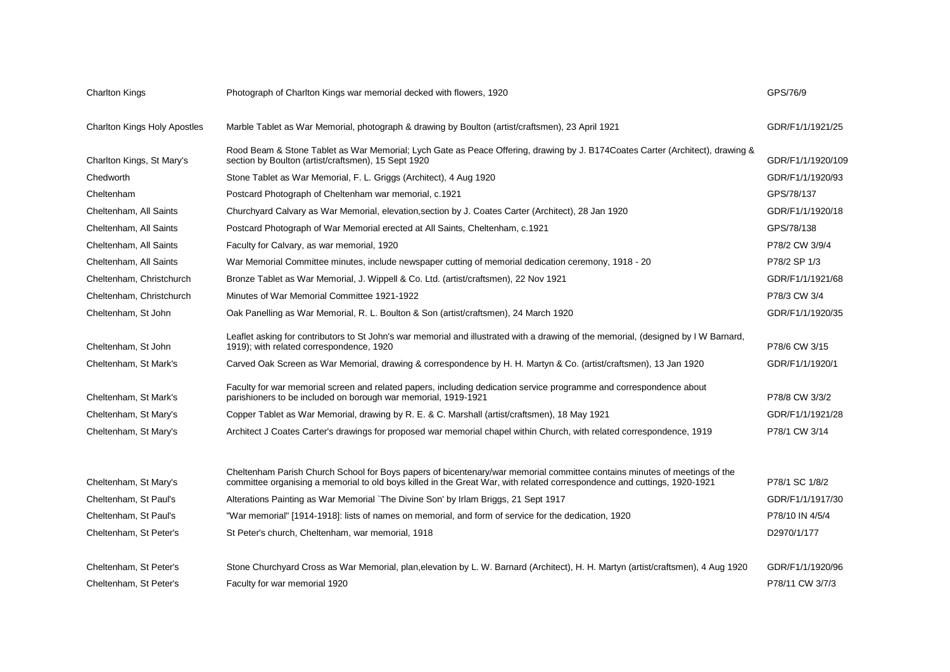| <b>Charlton Kings</b>               | Photograph of Charlton Kings war memorial decked with flowers, 1920                                                                                                                                                                                   | GPS/76/9          |
|-------------------------------------|-------------------------------------------------------------------------------------------------------------------------------------------------------------------------------------------------------------------------------------------------------|-------------------|
| <b>Charlton Kings Holy Apostles</b> | Marble Tablet as War Memorial, photograph & drawing by Boulton (artist/craftsmen), 23 April 1921                                                                                                                                                      | GDR/F1/1/1921/25  |
| Charlton Kings, St Mary's           | Rood Beam & Stone Tablet as War Memorial; Lych Gate as Peace Offering, drawing by J. B174Coates Carter (Architect), drawing &<br>section by Boulton (artist/craftsmen), 15 Sept 1920                                                                  | GDR/F1/1/1920/109 |
| Chedworth                           | Stone Tablet as War Memorial, F. L. Griggs (Architect), 4 Aug 1920                                                                                                                                                                                    | GDR/F1/1/1920/93  |
| Cheltenham                          | Postcard Photograph of Cheltenham war memorial, c.1921                                                                                                                                                                                                | GPS/78/137        |
| Cheltenham, All Saints              | Churchyard Calvary as War Memorial, elevation, section by J. Coates Carter (Architect), 28 Jan 1920                                                                                                                                                   | GDR/F1/1/1920/18  |
| Cheltenham, All Saints              | Postcard Photograph of War Memorial erected at All Saints, Cheltenham, c.1921                                                                                                                                                                         | GPS/78/138        |
| Cheltenham, All Saints              | Faculty for Calvary, as war memorial, 1920                                                                                                                                                                                                            | P78/2 CW 3/9/4    |
| Cheltenham, All Saints              | War Memorial Committee minutes, include newspaper cutting of memorial dedication ceremony, 1918 - 20                                                                                                                                                  | P78/2 SP 1/3      |
| Cheltenham, Christchurch            | Bronze Tablet as War Memorial, J. Wippell & Co. Ltd. (artist/craftsmen), 22 Nov 1921                                                                                                                                                                  | GDR/F1/1/1921/68  |
| Cheltenham, Christchurch            | Minutes of War Memorial Committee 1921-1922                                                                                                                                                                                                           | P78/3 CW 3/4      |
| Cheltenham, St John                 | Oak Panelling as War Memorial, R. L. Boulton & Son (artist/craftsmen), 24 March 1920                                                                                                                                                                  | GDR/F1/1/1920/35  |
| Cheltenham, St John                 | Leaflet asking for contributors to St John's war memorial and illustrated with a drawing of the memorial, (designed by I W Barnard,<br>1919); with related correspondence, 1920                                                                       | P78/6 CW 3/15     |
| Cheltenham, St Mark's               | Carved Oak Screen as War Memorial, drawing & correspondence by H. H. Martyn & Co. (artist/craftsmen), 13 Jan 1920                                                                                                                                     | GDR/F1/1/1920/1   |
| Cheltenham, St Mark's               | Faculty for war memorial screen and related papers, including dedication service programme and correspondence about<br>parishioners to be included on borough war memorial, 1919-1921                                                                 | P78/8 CW 3/3/2    |
| Cheltenham, St Mary's               | Copper Tablet as War Memorial, drawing by R. E. & C. Marshall (artist/craftsmen), 18 May 1921                                                                                                                                                         | GDR/F1/1/1921/28  |
| Cheltenham, St Mary's               | Architect J Coates Carter's drawings for proposed war memorial chapel within Church, with related correspondence, 1919                                                                                                                                | P78/1 CW 3/14     |
|                                     |                                                                                                                                                                                                                                                       |                   |
| Cheltenham, St Mary's               | Cheltenham Parish Church School for Boys papers of bicentenary/war memorial committee contains minutes of meetings of the<br>committee organising a memorial to old boys killed in the Great War, with related correspondence and cuttings, 1920-1921 | P78/1 SC 1/8/2    |
| Cheltenham, St Paul's               | Alterations Painting as War Memorial `The Divine Son' by Irlam Briggs, 21 Sept 1917                                                                                                                                                                   | GDR/F1/1/1917/30  |
| Cheltenham, St Paul's               | "War memorial" [1914-1918]: lists of names on memorial, and form of service for the dedication, 1920                                                                                                                                                  | P78/10 IN 4/5/4   |
| Cheltenham, St Peter's              | St Peter's church, Cheltenham, war memorial, 1918                                                                                                                                                                                                     | D2970/1/177       |
| Cheltenham, St Peter's              | Stone Churchyard Cross as War Memorial, plan, elevation by L. W. Barnard (Architect), H. H. Martyn (artist/craftsmen), 4 Aug 1920                                                                                                                     | GDR/F1/1/1920/96  |
| Cheltenham, St Peter's              | Faculty for war memorial 1920                                                                                                                                                                                                                         | P78/11 CW 3/7/3   |
|                                     |                                                                                                                                                                                                                                                       |                   |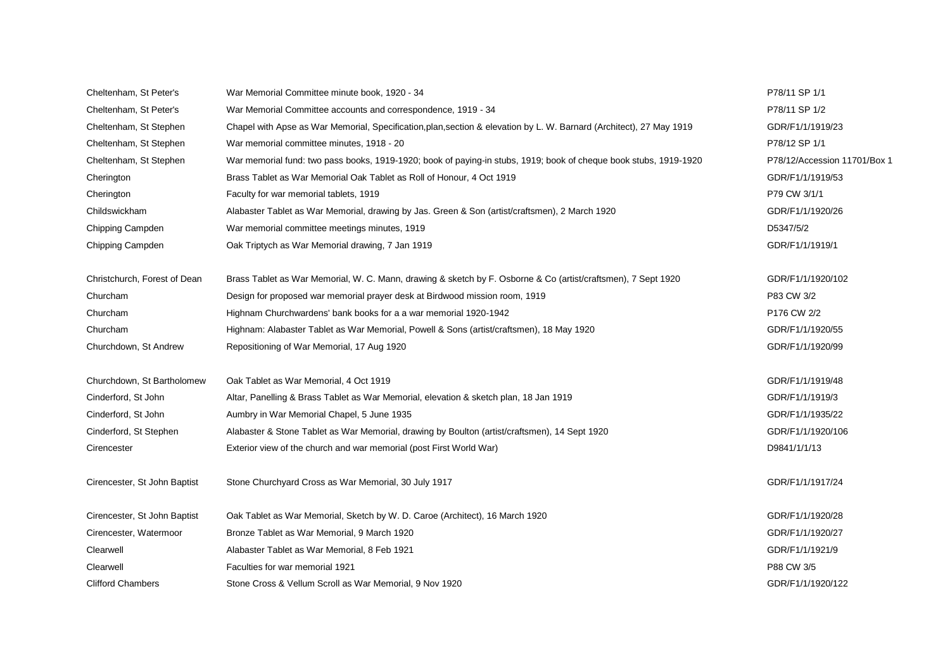| Cheltenham, St Peter's       | War Memorial Committee minute book, 1920 - 34                                                                        | P78/11 SP 1/1                |
|------------------------------|----------------------------------------------------------------------------------------------------------------------|------------------------------|
| Cheltenham, St Peter's       | War Memorial Committee accounts and correspondence, 1919 - 34                                                        | P78/11 SP 1/2                |
| Cheltenham, St Stephen       | Chapel with Apse as War Memorial, Specification, plan, section & elevation by L. W. Barnard (Architect), 27 May 1919 | GDR/F1/1/1919/23             |
| Cheltenham, St Stephen       | War memorial committee minutes, 1918 - 20                                                                            | P78/12 SP 1/1                |
| Cheltenham, St Stephen       | War memorial fund: two pass books, 1919-1920; book of paying-in stubs, 1919; book of cheque book stubs, 1919-1920    | P78/12/Accession 11701/Box 1 |
| Cherington                   | Brass Tablet as War Memorial Oak Tablet as Roll of Honour, 4 Oct 1919                                                | GDR/F1/1/1919/53             |
| Cherington                   | Faculty for war memorial tablets, 1919                                                                               | P79 CW 3/1/1                 |
| Childswickham                | Alabaster Tablet as War Memorial, drawing by Jas. Green & Son (artist/craftsmen), 2 March 1920                       | GDR/F1/1/1920/26             |
| Chipping Campden             | War memorial committee meetings minutes, 1919                                                                        | D5347/5/2                    |
| Chipping Campden             | Oak Triptych as War Memorial drawing, 7 Jan 1919                                                                     | GDR/F1/1/1919/1              |
| Christchurch, Forest of Dean | Brass Tablet as War Memorial, W. C. Mann, drawing & sketch by F. Osborne & Co (artist/craftsmen), 7 Sept 1920        | GDR/F1/1/1920/102            |
| Churcham                     | Design for proposed war memorial prayer desk at Birdwood mission room, 1919                                          | P83 CW 3/2                   |
| Churcham                     | Highnam Churchwardens' bank books for a a war memorial 1920-1942                                                     | P176 CW 2/2                  |
| Churcham                     | Highnam: Alabaster Tablet as War Memorial, Powell & Sons (artist/craftsmen), 18 May 1920                             | GDR/F1/1/1920/55             |
| Churchdown, St Andrew        | Repositioning of War Memorial, 17 Aug 1920                                                                           | GDR/F1/1/1920/99             |
| Churchdown, St Bartholomew   | Oak Tablet as War Memorial, 4 Oct 1919                                                                               | GDR/F1/1/1919/48             |
| Cinderford, St John          | Altar, Panelling & Brass Tablet as War Memorial, elevation & sketch plan, 18 Jan 1919                                | GDR/F1/1/1919/3              |
| Cinderford, St John          | Aumbry in War Memorial Chapel, 5 June 1935                                                                           | GDR/F1/1/1935/22             |
| Cinderford, St Stephen       | Alabaster & Stone Tablet as War Memorial, drawing by Boulton (artist/craftsmen), 14 Sept 1920                        | GDR/F1/1/1920/106            |
| Cirencester                  | Exterior view of the church and war memorial (post First World War)                                                  | D9841/1/1/13                 |
| Cirencester, St John Baptist | Stone Churchyard Cross as War Memorial, 30 July 1917                                                                 | GDR/F1/1/1917/24             |
| Cirencester, St John Baptist | Oak Tablet as War Memorial, Sketch by W. D. Caroe (Architect), 16 March 1920                                         | GDR/F1/1/1920/28             |
| Cirencester, Watermoor       | Bronze Tablet as War Memorial, 9 March 1920                                                                          | GDR/F1/1/1920/27             |
| Clearwell                    | Alabaster Tablet as War Memorial, 8 Feb 1921                                                                         | GDR/F1/1/1921/9              |
| Clearwell                    | Faculties for war memorial 1921                                                                                      | P88 CW 3/5                   |
| <b>Clifford Chambers</b>     | Stone Cross & Vellum Scroll as War Memorial, 9 Nov 1920                                                              | GDR/F1/1/1920/122            |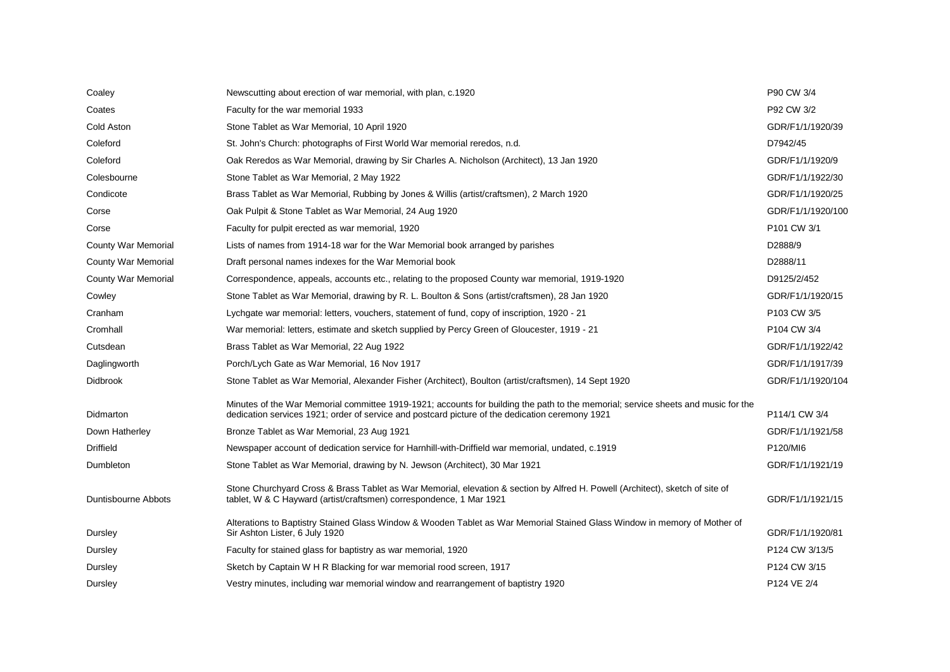| Coaley                     | Newscutting about erection of war memorial, with plan, c.1920                                                                                                                                                                        | P90 CW 3/4        |
|----------------------------|--------------------------------------------------------------------------------------------------------------------------------------------------------------------------------------------------------------------------------------|-------------------|
| Coates                     | Faculty for the war memorial 1933                                                                                                                                                                                                    | P92 CW 3/2        |
| Cold Aston                 | Stone Tablet as War Memorial, 10 April 1920                                                                                                                                                                                          | GDR/F1/1/1920/39  |
| Coleford                   | St. John's Church: photographs of First World War memorial reredos, n.d.                                                                                                                                                             | D7942/45          |
| Coleford                   | Oak Reredos as War Memorial, drawing by Sir Charles A. Nicholson (Architect), 13 Jan 1920                                                                                                                                            | GDR/F1/1/1920/9   |
| Colesbourne                | Stone Tablet as War Memorial, 2 May 1922                                                                                                                                                                                             | GDR/F1/1/1922/30  |
| Condicote                  | Brass Tablet as War Memorial, Rubbing by Jones & Willis (artist/craftsmen), 2 March 1920                                                                                                                                             | GDR/F1/1/1920/25  |
| Corse                      | Oak Pulpit & Stone Tablet as War Memorial, 24 Aug 1920                                                                                                                                                                               | GDR/F1/1/1920/100 |
| Corse                      | Faculty for pulpit erected as war memorial, 1920                                                                                                                                                                                     | P101 CW 3/1       |
| <b>County War Memorial</b> | Lists of names from 1914-18 war for the War Memorial book arranged by parishes                                                                                                                                                       | D2888/9           |
| County War Memorial        | Draft personal names indexes for the War Memorial book                                                                                                                                                                               | D2888/11          |
| <b>County War Memorial</b> | Correspondence, appeals, accounts etc., relating to the proposed County war memorial, 1919-1920                                                                                                                                      | D9125/2/452       |
| Cowley                     | Stone Tablet as War Memorial, drawing by R. L. Boulton & Sons (artist/craftsmen), 28 Jan 1920                                                                                                                                        | GDR/F1/1/1920/15  |
| Cranham                    | Lychgate war memorial: letters, vouchers, statement of fund, copy of inscription, 1920 - 21                                                                                                                                          | P103 CW 3/5       |
| Cromhall                   | War memorial: letters, estimate and sketch supplied by Percy Green of Gloucester, 1919 - 21                                                                                                                                          | P104 CW 3/4       |
| Cutsdean                   | Brass Tablet as War Memorial, 22 Aug 1922                                                                                                                                                                                            | GDR/F1/1/1922/42  |
| Daglingworth               | Porch/Lych Gate as War Memorial, 16 Nov 1917                                                                                                                                                                                         | GDR/F1/1/1917/39  |
| Didbrook                   | Stone Tablet as War Memorial, Alexander Fisher (Architect), Boulton (artist/craftsmen), 14 Sept 1920                                                                                                                                 | GDR/F1/1/1920/104 |
| Didmarton                  | Minutes of the War Memorial committee 1919-1921; accounts for building the path to the memorial; service sheets and music for the<br>dedication services 1921; order of service and postcard picture of the dedication ceremony 1921 | P114/1 CW 3/4     |
| Down Hatherley             | Bronze Tablet as War Memorial, 23 Aug 1921                                                                                                                                                                                           | GDR/F1/1/1921/58  |
| <b>Driffield</b>           | Newspaper account of dedication service for Harnhill-with-Driffield war memorial, undated, c.1919                                                                                                                                    | P120/MI6          |
| Dumbleton                  | Stone Tablet as War Memorial, drawing by N. Jewson (Architect), 30 Mar 1921                                                                                                                                                          | GDR/F1/1/1921/19  |
| <b>Duntisbourne Abbots</b> | Stone Churchyard Cross & Brass Tablet as War Memorial, elevation & section by Alfred H. Powell (Architect), sketch of site of<br>tablet, W & C Hayward (artist/craftsmen) correspondence, 1 Mar 1921                                 | GDR/F1/1/1921/15  |
| Dursley                    | Alterations to Baptistry Stained Glass Window & Wooden Tablet as War Memorial Stained Glass Window in memory of Mother of<br>Sir Ashton Lister, 6 July 1920                                                                          | GDR/F1/1/1920/81  |
| Dursley                    | Faculty for stained glass for baptistry as war memorial, 1920                                                                                                                                                                        | P124 CW 3/13/5    |
| Dursley                    | Sketch by Captain W H R Blacking for war memorial rood screen, 1917                                                                                                                                                                  | P124 CW 3/15      |
| Dursley                    | Vestry minutes, including war memorial window and rearrangement of baptistry 1920                                                                                                                                                    | P124 VE 2/4       |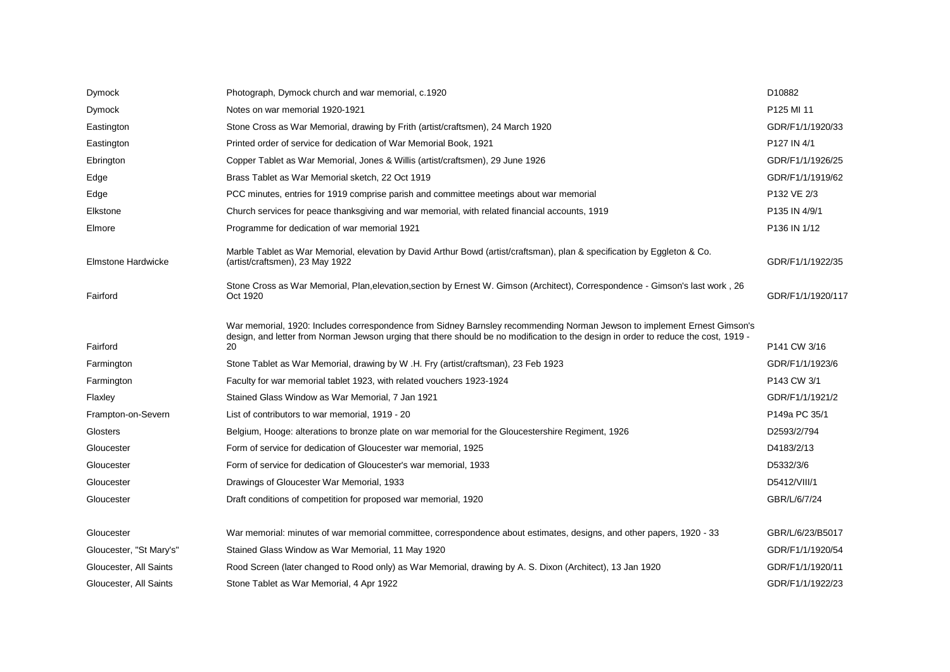| Dymock                    | Photograph, Dymock church and war memorial, c.1920                                                                                                                                                                                                                    | D10882            |
|---------------------------|-----------------------------------------------------------------------------------------------------------------------------------------------------------------------------------------------------------------------------------------------------------------------|-------------------|
| Dymock                    | Notes on war memorial 1920-1921                                                                                                                                                                                                                                       | P125 MI 11        |
| Eastington                | Stone Cross as War Memorial, drawing by Frith (artist/craftsmen), 24 March 1920                                                                                                                                                                                       | GDR/F1/1/1920/33  |
| Eastington                | Printed order of service for dedication of War Memorial Book, 1921                                                                                                                                                                                                    | P127 IN 4/1       |
| Ebrington                 | Copper Tablet as War Memorial, Jones & Willis (artist/craftsmen), 29 June 1926                                                                                                                                                                                        | GDR/F1/1/1926/25  |
| Edge                      | Brass Tablet as War Memorial sketch, 22 Oct 1919                                                                                                                                                                                                                      | GDR/F1/1/1919/62  |
| Edge                      | PCC minutes, entries for 1919 comprise parish and committee meetings about war memorial                                                                                                                                                                               | P132 VE 2/3       |
| Elkstone                  | Church services for peace thanksgiving and war memorial, with related financial accounts, 1919                                                                                                                                                                        | P135 IN 4/9/1     |
| Elmore                    | Programme for dedication of war memorial 1921                                                                                                                                                                                                                         | P136 IN 1/12      |
| <b>Elmstone Hardwicke</b> | Marble Tablet as War Memorial, elevation by David Arthur Bowd (artist/craftsman), plan & specification by Eggleton & Co.<br>(artist/craftsmen), 23 May 1922                                                                                                           | GDR/F1/1/1922/35  |
| Fairford                  | Stone Cross as War Memorial, Plan, elevation, section by Ernest W. Gimson (Architect), Correspondence - Gimson's last work, 26<br>Oct 1920                                                                                                                            | GDR/F1/1/1920/117 |
| Fairford                  | War memorial, 1920: Includes correspondence from Sidney Barnsley recommending Norman Jewson to implement Ernest Gimson's<br>design, and letter from Norman Jewson urging that there should be no modification to the design in order to reduce the cost, 1919 -<br>20 | P141 CW 3/16      |
| Farmington                | Stone Tablet as War Memorial, drawing by W.H. Fry (artist/craftsman), 23 Feb 1923                                                                                                                                                                                     | GDR/F1/1/1923/6   |
| Farmington                | Faculty for war memorial tablet 1923, with related vouchers 1923-1924                                                                                                                                                                                                 | P143 CW 3/1       |
| Flaxley                   | Stained Glass Window as War Memorial, 7 Jan 1921                                                                                                                                                                                                                      | GDR/F1/1/1921/2   |
| Frampton-on-Severn        | List of contributors to war memorial, 1919 - 20                                                                                                                                                                                                                       | P149a PC 35/1     |
| Glosters                  | Belgium, Hooge: alterations to bronze plate on war memorial for the Gloucestershire Regiment, 1926                                                                                                                                                                    | D2593/2/794       |
| Gloucester                | Form of service for dedication of Gloucester war memorial, 1925                                                                                                                                                                                                       | D4183/2/13        |
| Gloucester                | Form of service for dedication of Gloucester's war memorial, 1933                                                                                                                                                                                                     | D5332/3/6         |
| Gloucester                | Drawings of Gloucester War Memorial, 1933                                                                                                                                                                                                                             | D5412/VIII/1      |
| Gloucester                |                                                                                                                                                                                                                                                                       |                   |
|                           | Draft conditions of competition for proposed war memorial, 1920                                                                                                                                                                                                       | GBR/L/6/7/24      |
| Gloucester                | War memorial: minutes of war memorial committee, correspondence about estimates, designs, and other papers, 1920 - 33                                                                                                                                                 | GBR/L/6/23/B5017  |
| Gloucester, "St Mary's"   | Stained Glass Window as War Memorial, 11 May 1920                                                                                                                                                                                                                     | GDR/F1/1/1920/54  |
| Gloucester, All Saints    | Rood Screen (later changed to Rood only) as War Memorial, drawing by A. S. Dixon (Architect), 13 Jan 1920                                                                                                                                                             | GDR/F1/1/1920/11  |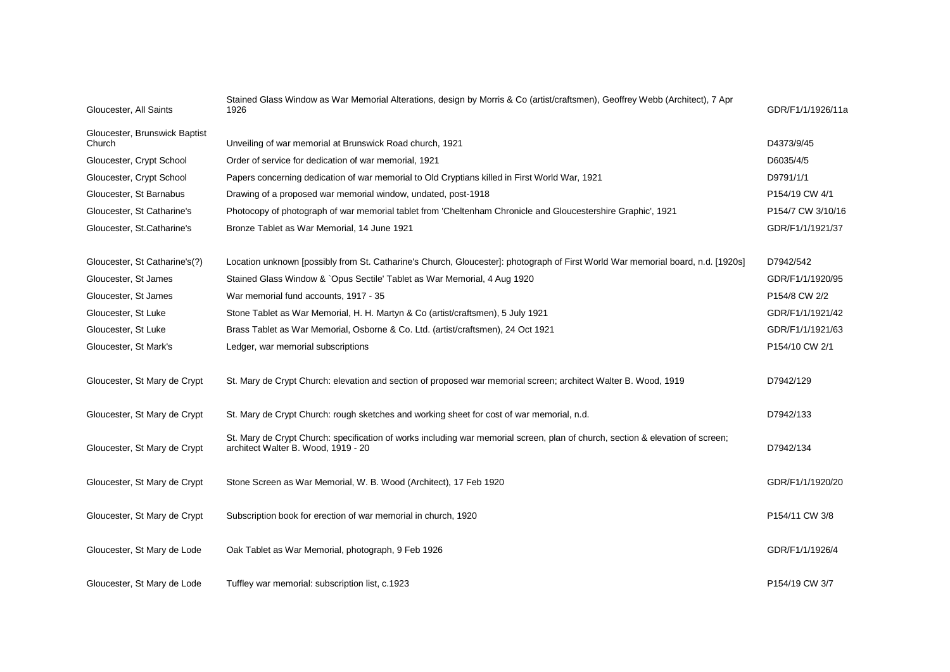| Gloucester, All Saints                  | Stained Glass Window as War Memorial Alterations, design by Morris & Co (artist/craftsmen), Geoffrey Webb (Architect), 7 Apr<br>1926                                  | GDR/F1/1/1926/11a           |
|-----------------------------------------|-----------------------------------------------------------------------------------------------------------------------------------------------------------------------|-----------------------------|
| Gloucester, Brunswick Baptist<br>Church | Unveiling of war memorial at Brunswick Road church, 1921                                                                                                              | D4373/9/45                  |
| Gloucester, Crypt School                | Order of service for dedication of war memorial, 1921                                                                                                                 | D6035/4/5                   |
| Gloucester, Crypt School                | Papers concerning dedication of war memorial to Old Cryptians killed in First World War, 1921                                                                         | D9791/1/1                   |
| Gloucester, St Barnabus                 | Drawing of a proposed war memorial window, undated, post-1918                                                                                                         | P154/19 CW 4/1              |
| Gloucester, St Catharine's              | Photocopy of photograph of war memorial tablet from 'Cheltenham Chronicle and Gloucestershire Graphic', 1921                                                          | P154/7 CW 3/10/16           |
| Gloucester, St.Catharine's              | Bronze Tablet as War Memorial, 14 June 1921                                                                                                                           | GDR/F1/1/1921/37            |
| Gloucester, St Catharine's(?)           | Location unknown [possibly from St. Catharine's Church, Gloucester]: photograph of First World War memorial board, n.d. [1920s]                                       | D7942/542                   |
| Gloucester, St James                    | Stained Glass Window & `Opus Sectile' Tablet as War Memorial, 4 Aug 1920                                                                                              | GDR/F1/1/1920/95            |
| Gloucester, St James                    | War memorial fund accounts, 1917 - 35                                                                                                                                 | P154/8 CW 2/2               |
| Gloucester, St Luke                     | Stone Tablet as War Memorial, H. H. Martyn & Co (artist/craftsmen), 5 July 1921                                                                                       | GDR/F1/1/1921/42            |
| Gloucester, St Luke                     | Brass Tablet as War Memorial, Osborne & Co. Ltd. (artist/craftsmen), 24 Oct 1921                                                                                      | GDR/F1/1/1921/63            |
| Gloucester, St Mark's                   | Ledger, war memorial subscriptions                                                                                                                                    | P154/10 CW 2/1              |
| Gloucester, St Mary de Crypt            | St. Mary de Crypt Church: elevation and section of proposed war memorial screen; architect Walter B. Wood, 1919                                                       | D7942/129                   |
| Gloucester, St Mary de Crypt            | St. Mary de Crypt Church: rough sketches and working sheet for cost of war memorial, n.d.                                                                             | D7942/133                   |
| Gloucester, St Mary de Crypt            | St. Mary de Crypt Church: specification of works including war memorial screen, plan of church, section & elevation of screen;<br>architect Walter B. Wood, 1919 - 20 | D7942/134                   |
| Gloucester, St Mary de Crypt            | Stone Screen as War Memorial, W. B. Wood (Architect), 17 Feb 1920                                                                                                     | GDR/F1/1/1920/20            |
| Gloucester, St Mary de Crypt            | Subscription book for erection of war memorial in church, 1920                                                                                                        | P154/11 CW 3/8              |
| Gloucester, St Mary de Lode             | Oak Tablet as War Memorial, photograph, 9 Feb 1926                                                                                                                    | GDR/F1/1/1926/4             |
| Gloucester, St Mary de Lode             | Tuffley war memorial: subscription list, c.1923                                                                                                                       | P <sub>154</sub> /19 CW 3/7 |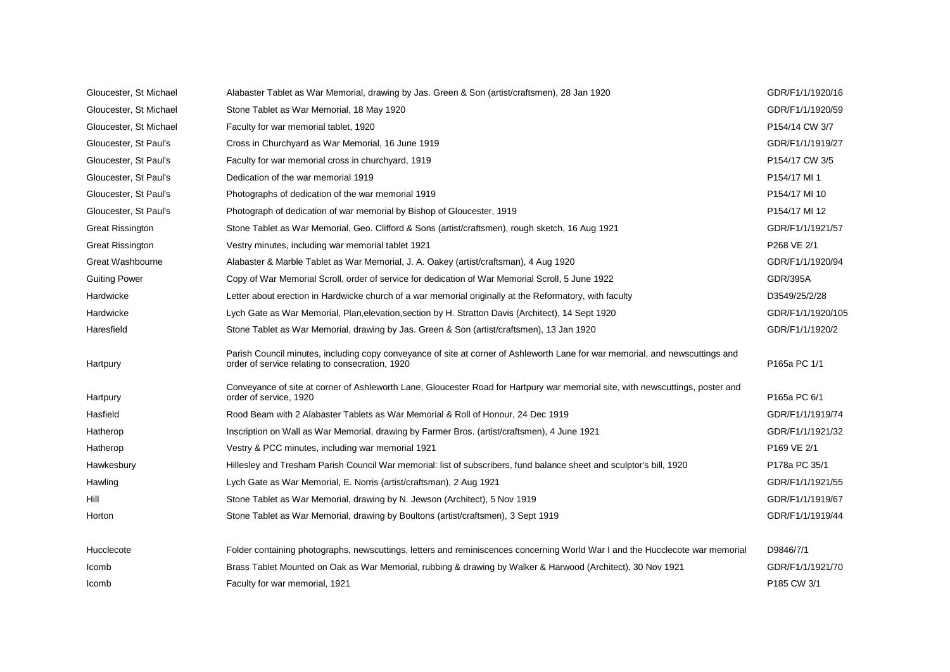| Gloucester, St Michael  | Alabaster Tablet as War Memorial, drawing by Jas. Green & Son (artist/craftsmen), 28 Jan 1920                                                                                    | GDR/F1/1/1920/16  |
|-------------------------|----------------------------------------------------------------------------------------------------------------------------------------------------------------------------------|-------------------|
| Gloucester, St Michael  | Stone Tablet as War Memorial, 18 May 1920                                                                                                                                        | GDR/F1/1/1920/59  |
| Gloucester, St Michael  | Faculty for war memorial tablet, 1920                                                                                                                                            | P154/14 CW 3/7    |
| Gloucester, St Paul's   | Cross in Churchyard as War Memorial, 16 June 1919                                                                                                                                | GDR/F1/1/1919/27  |
| Gloucester, St Paul's   | Faculty for war memorial cross in churchyard, 1919                                                                                                                               | P154/17 CW 3/5    |
| Gloucester, St Paul's   | Dedication of the war memorial 1919                                                                                                                                              | P154/17 MI 1      |
| Gloucester, St Paul's   | Photographs of dedication of the war memorial 1919                                                                                                                               | P154/17 MI 10     |
| Gloucester, St Paul's   | Photograph of dedication of war memorial by Bishop of Gloucester, 1919                                                                                                           | P154/17 MI 12     |
| <b>Great Rissington</b> | Stone Tablet as War Memorial, Geo. Clifford & Sons (artist/craftsmen), rough sketch, 16 Aug 1921                                                                                 | GDR/F1/1/1921/57  |
| <b>Great Rissington</b> | Vestry minutes, including war memorial tablet 1921                                                                                                                               | P268 VE 2/1       |
| Great Washbourne        | Alabaster & Marble Tablet as War Memorial, J. A. Oakey (artist/craftsman), 4 Aug 1920                                                                                            | GDR/F1/1/1920/94  |
| <b>Guiting Power</b>    | Copy of War Memorial Scroll, order of service for dedication of War Memorial Scroll, 5 June 1922                                                                                 | <b>GDR/395A</b>   |
| Hardwicke               | Letter about erection in Hardwicke church of a war memorial originally at the Reformatory, with faculty                                                                          | D3549/25/2/28     |
| Hardwicke               | Lych Gate as War Memorial, Plan, elevation, section by H. Stratton Davis (Architect), 14 Sept 1920                                                                               | GDR/F1/1/1920/105 |
| Haresfield              | Stone Tablet as War Memorial, drawing by Jas. Green & Son (artist/craftsmen), 13 Jan 1920                                                                                        | GDR/F1/1/1920/2   |
| Hartpury                | Parish Council minutes, including copy conveyance of site at corner of Ashleworth Lane for war memorial, and newscuttings and<br>order of service relating to consecration, 1920 | P165a PC 1/1      |
| Hartpury                | Conveyance of site at corner of Ashleworth Lane, Gloucester Road for Hartpury war memorial site, with newscuttings, poster and<br>order of service, 1920                         | P165a PC 6/1      |
| Hasfield                | Rood Beam with 2 Alabaster Tablets as War Memorial & Roll of Honour, 24 Dec 1919                                                                                                 | GDR/F1/1/1919/74  |
| Hatherop                | Inscription on Wall as War Memorial, drawing by Farmer Bros. (artist/craftsmen), 4 June 1921                                                                                     | GDR/F1/1/1921/32  |
| Hatherop                | Vestry & PCC minutes, including war memorial 1921                                                                                                                                | P169 VE 2/1       |
| Hawkesbury              | Hillesley and Tresham Parish Council War memorial: list of subscribers, fund balance sheet and sculptor's bill, 1920                                                             | P178a PC 35/1     |
| Hawling                 | Lych Gate as War Memorial, E. Norris (artist/craftsman), 2 Aug 1921                                                                                                              | GDR/F1/1/1921/55  |
| Hill                    | Stone Tablet as War Memorial, drawing by N. Jewson (Architect), 5 Nov 1919                                                                                                       | GDR/F1/1/1919/67  |
| Horton                  | Stone Tablet as War Memorial, drawing by Boultons (artist/craftsmen), 3 Sept 1919                                                                                                | GDR/F1/1/1919/44  |
| Hucclecote              | Folder containing photographs, newscuttings, letters and reminiscences concerning World War I and the Hucclecote war memorial                                                    | D9846/7/1         |
| Icomb                   | Brass Tablet Mounted on Oak as War Memorial, rubbing & drawing by Walker & Harwood (Architect), 30 Nov 1921                                                                      | GDR/F1/1/1921/70  |
| Icomb                   | Faculty for war memorial, 1921                                                                                                                                                   | P185 CW 3/1       |
|                         |                                                                                                                                                                                  |                   |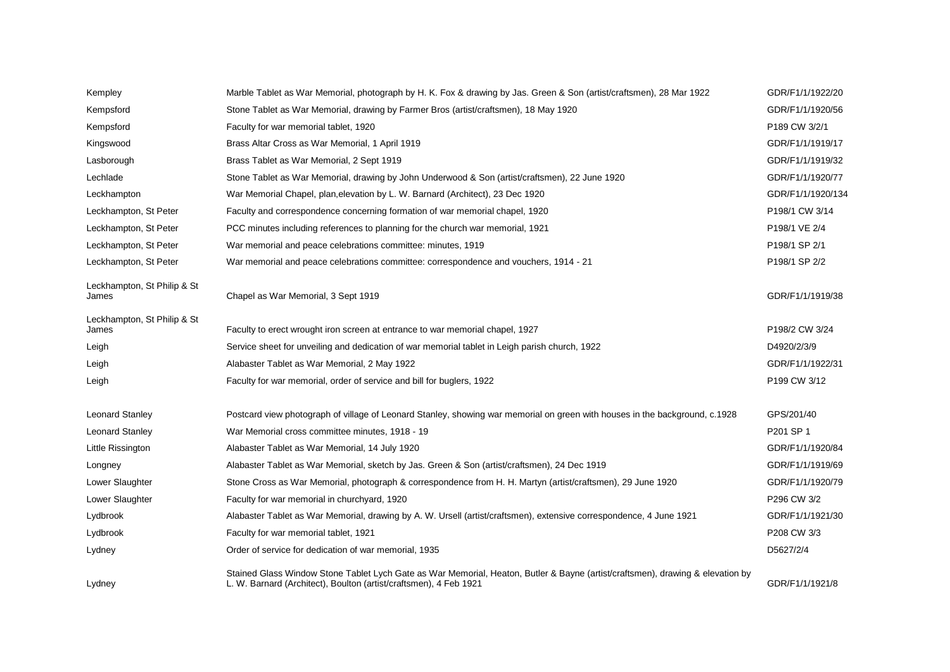| Kempley                              | Marble Tablet as War Memorial, photograph by H. K. Fox & drawing by Jas. Green & Son (artist/craftsmen), 28 Mar 1922                                                                                | GDR/F1/1/1922/20  |
|--------------------------------------|-----------------------------------------------------------------------------------------------------------------------------------------------------------------------------------------------------|-------------------|
| Kempsford                            | Stone Tablet as War Memorial, drawing by Farmer Bros (artist/craftsmen), 18 May 1920                                                                                                                | GDR/F1/1/1920/56  |
| Kempsford                            | Faculty for war memorial tablet, 1920                                                                                                                                                               | P189 CW 3/2/1     |
| Kingswood                            | Brass Altar Cross as War Memorial, 1 April 1919                                                                                                                                                     | GDR/F1/1/1919/17  |
| Lasborough                           | Brass Tablet as War Memorial, 2 Sept 1919                                                                                                                                                           | GDR/F1/1/1919/32  |
| Lechlade                             | Stone Tablet as War Memorial, drawing by John Underwood & Son (artist/craftsmen), 22 June 1920                                                                                                      | GDR/F1/1/1920/77  |
| Leckhampton                          | War Memorial Chapel, plan, elevation by L. W. Barnard (Architect), 23 Dec 1920                                                                                                                      | GDR/F1/1/1920/134 |
| Leckhampton, St Peter                | Faculty and correspondence concerning formation of war memorial chapel, 1920                                                                                                                        | P198/1 CW 3/14    |
| Leckhampton, St Peter                | PCC minutes including references to planning for the church war memorial, 1921                                                                                                                      | P198/1 VE 2/4     |
| Leckhampton, St Peter                | War memorial and peace celebrations committee: minutes, 1919                                                                                                                                        | P198/1 SP 2/1     |
| Leckhampton, St Peter                | War memorial and peace celebrations committee: correspondence and vouchers, 1914 - 21                                                                                                               | P198/1 SP 2/2     |
| Leckhampton, St Philip & St<br>James | Chapel as War Memorial, 3 Sept 1919                                                                                                                                                                 | GDR/F1/1/1919/38  |
| Leckhampton, St Philip & St<br>James | Faculty to erect wrought iron screen at entrance to war memorial chapel, 1927                                                                                                                       | P198/2 CW 3/24    |
| Leigh                                | Service sheet for unveiling and dedication of war memorial tablet in Leigh parish church, 1922                                                                                                      | D4920/2/3/9       |
| Leigh                                | Alabaster Tablet as War Memorial, 2 May 1922                                                                                                                                                        | GDR/F1/1/1922/31  |
| Leigh                                | Faculty for war memorial, order of service and bill for buglers, 1922                                                                                                                               | P199 CW 3/12      |
| <b>Leonard Stanley</b>               | Postcard view photograph of village of Leonard Stanley, showing war memorial on green with houses in the background, c.1928                                                                         | GPS/201/40        |
| <b>Leonard Stanley</b>               | War Memorial cross committee minutes, 1918 - 19                                                                                                                                                     | P201 SP 1         |
| Little Rissington                    | Alabaster Tablet as War Memorial, 14 July 1920                                                                                                                                                      | GDR/F1/1/1920/84  |
| Longney                              | Alabaster Tablet as War Memorial, sketch by Jas. Green & Son (artist/craftsmen), 24 Dec 1919                                                                                                        | GDR/F1/1/1919/69  |
| Lower Slaughter                      | Stone Cross as War Memorial, photograph & correspondence from H. H. Martyn (artist/craftsmen), 29 June 1920                                                                                         | GDR/F1/1/1920/79  |
| Lower Slaughter                      | Faculty for war memorial in churchyard, 1920                                                                                                                                                        | P296 CW 3/2       |
| Lydbrook                             | Alabaster Tablet as War Memorial, drawing by A. W. Ursell (artist/craftsmen), extensive correspondence, 4 June 1921                                                                                 | GDR/F1/1/1921/30  |
| Lydbrook                             | Faculty for war memorial tablet, 1921                                                                                                                                                               | P208 CW 3/3       |
| Lydney                               | Order of service for dedication of war memorial, 1935                                                                                                                                               | D5627/2/4         |
| Lydney                               | Stained Glass Window Stone Tablet Lych Gate as War Memorial, Heaton, Butler & Bayne (artist/craftsmen), drawing & elevation by<br>L. W. Barnard (Architect), Boulton (artist/craftsmen), 4 Feb 1921 | GDR/F1/1/1921/8   |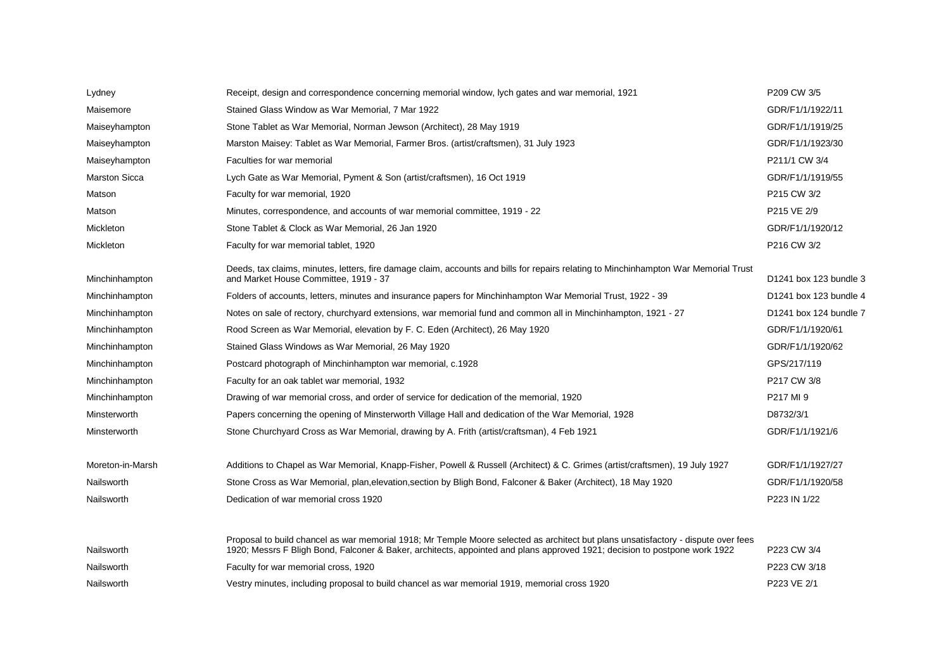| Lydney               | Receipt, design and correspondence concerning memorial window, lych gates and war memorial, 1921                                                                                                                                                                 | P209 CW 3/5            |
|----------------------|------------------------------------------------------------------------------------------------------------------------------------------------------------------------------------------------------------------------------------------------------------------|------------------------|
| Maisemore            | Stained Glass Window as War Memorial, 7 Mar 1922                                                                                                                                                                                                                 | GDR/F1/1/1922/11       |
| Maiseyhampton        | Stone Tablet as War Memorial, Norman Jewson (Architect), 28 May 1919                                                                                                                                                                                             | GDR/F1/1/1919/25       |
| Maiseyhampton        | Marston Maisey: Tablet as War Memorial, Farmer Bros. (artist/craftsmen), 31 July 1923                                                                                                                                                                            | GDR/F1/1/1923/30       |
| Maiseyhampton        | Faculties for war memorial                                                                                                                                                                                                                                       | P211/1 CW 3/4          |
| <b>Marston Sicca</b> | Lych Gate as War Memorial, Pyment & Son (artist/craftsmen), 16 Oct 1919                                                                                                                                                                                          | GDR/F1/1/1919/55       |
| Matson               | Faculty for war memorial, 1920                                                                                                                                                                                                                                   | P215 CW 3/2            |
| Matson               | Minutes, correspondence, and accounts of war memorial committee, 1919 - 22                                                                                                                                                                                       | P215 VE 2/9            |
| Mickleton            | Stone Tablet & Clock as War Memorial, 26 Jan 1920                                                                                                                                                                                                                | GDR/F1/1/1920/12       |
| Mickleton            | Faculty for war memorial tablet, 1920                                                                                                                                                                                                                            | P216 CW 3/2            |
| Minchinhampton       | Deeds, tax claims, minutes, letters, fire damage claim, accounts and bills for repairs relating to Minchinhampton War Memorial Trust<br>and Market House Committee, 1919 - 37                                                                                    | D1241 box 123 bundle 3 |
| Minchinhampton       | Folders of accounts, letters, minutes and insurance papers for Minchinhampton War Memorial Trust, 1922 - 39                                                                                                                                                      | D1241 box 123 bundle 4 |
| Minchinhampton       | Notes on sale of rectory, churchyard extensions, war memorial fund and common all in Minchinhampton, 1921 - 27                                                                                                                                                   | D1241 box 124 bundle 7 |
| Minchinhampton       | Rood Screen as War Memorial, elevation by F. C. Eden (Architect), 26 May 1920                                                                                                                                                                                    | GDR/F1/1/1920/61       |
| Minchinhampton       | Stained Glass Windows as War Memorial, 26 May 1920                                                                                                                                                                                                               | GDR/F1/1/1920/62       |
| Minchinhampton       | Postcard photograph of Minchinhampton war memorial, c.1928                                                                                                                                                                                                       | GPS/217/119            |
| Minchinhampton       | Faculty for an oak tablet war memorial, 1932                                                                                                                                                                                                                     | P217 CW 3/8            |
| Minchinhampton       | Drawing of war memorial cross, and order of service for dedication of the memorial, 1920                                                                                                                                                                         | P217 MI 9              |
| Minsterworth         | Papers concerning the opening of Minsterworth Village Hall and dedication of the War Memorial, 1928                                                                                                                                                              | D8732/3/1              |
| Minsterworth         | Stone Churchyard Cross as War Memorial, drawing by A. Frith (artist/craftsman), 4 Feb 1921                                                                                                                                                                       | GDR/F1/1/1921/6        |
| Moreton-in-Marsh     | Additions to Chapel as War Memorial, Knapp-Fisher, Powell & Russell (Architect) & C. Grimes (artist/craftsmen), 19 July 1927                                                                                                                                     | GDR/F1/1/1927/27       |
| Nailsworth           | Stone Cross as War Memorial, plan, elevation, section by Bligh Bond, Falconer & Baker (Architect), 18 May 1920                                                                                                                                                   | GDR/F1/1/1920/58       |
| Nailsworth           | Dedication of war memorial cross 1920                                                                                                                                                                                                                            | P223 IN 1/22           |
| Nailsworth           | Proposal to build chancel as war memorial 1918; Mr Temple Moore selected as architect but plans unsatisfactory - dispute over fees<br>1920; Messrs F Bligh Bond, Falconer & Baker, architects, appointed and plans approved 1921; decision to postpone work 1922 | P223 CW 3/4            |
| Nailsworth           | Faculty for war memorial cross, 1920                                                                                                                                                                                                                             | P223 CW 3/18           |
| Nailsworth           | Vestry minutes, including proposal to build chancel as war memorial 1919, memorial cross 1920                                                                                                                                                                    | P223 VE 2/1            |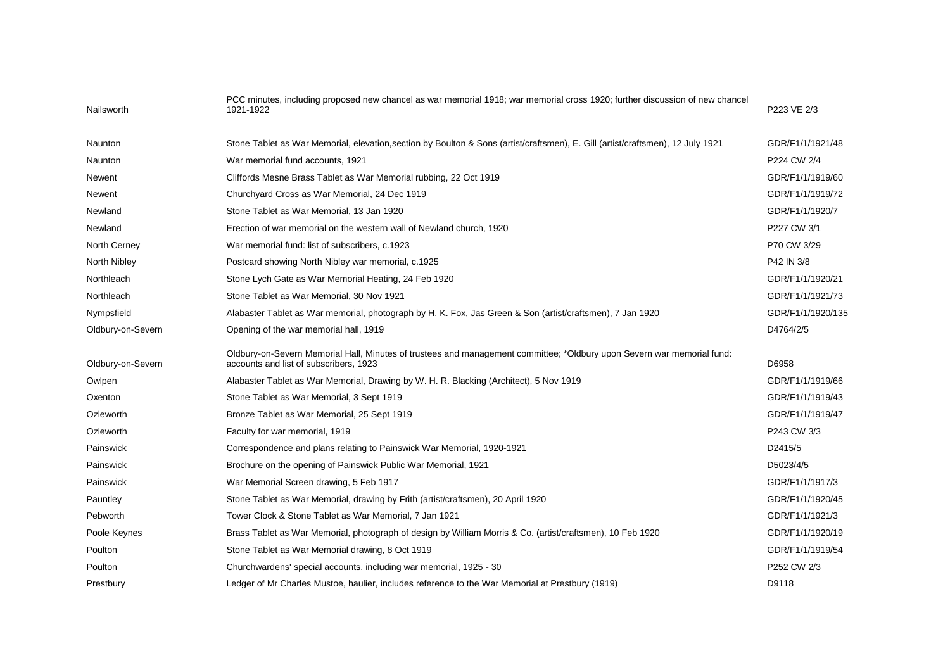| Nailsworth        | PCC minutes, including proposed new chancel as war memorial 1918; war memorial cross 1920; further discussion of new chancel<br>1921-1922                        | P223 VE 2/3       |
|-------------------|------------------------------------------------------------------------------------------------------------------------------------------------------------------|-------------------|
| Naunton           | Stone Tablet as War Memorial, elevation, section by Boulton & Sons (artist/craftsmen), E. Gill (artist/craftsmen), 12 July 1921                                  | GDR/F1/1/1921/48  |
| Naunton           | War memorial fund accounts, 1921                                                                                                                                 | P224 CW 2/4       |
| Newent            | Cliffords Mesne Brass Tablet as War Memorial rubbing, 22 Oct 1919                                                                                                | GDR/F1/1/1919/60  |
| Newent            | Churchyard Cross as War Memorial, 24 Dec 1919                                                                                                                    | GDR/F1/1/1919/72  |
| Newland           | Stone Tablet as War Memorial, 13 Jan 1920                                                                                                                        | GDR/F1/1/1920/7   |
| Newland           | Erection of war memorial on the western wall of Newland church, 1920                                                                                             | P227 CW 3/1       |
| North Cerney      | War memorial fund: list of subscribers, c.1923                                                                                                                   | P70 CW 3/29       |
| North Nibley      | Postcard showing North Nibley war memorial, c.1925                                                                                                               | P42 IN 3/8        |
| Northleach        | Stone Lych Gate as War Memorial Heating, 24 Feb 1920                                                                                                             | GDR/F1/1/1920/21  |
| Northleach        | Stone Tablet as War Memorial, 30 Nov 1921                                                                                                                        | GDR/F1/1/1921/73  |
| Nympsfield        | Alabaster Tablet as War memorial, photograph by H. K. Fox, Jas Green & Son (artist/craftsmen), 7 Jan 1920                                                        | GDR/F1/1/1920/135 |
| Oldbury-on-Severn | Opening of the war memorial hall, 1919                                                                                                                           | D4764/2/5         |
| Oldbury-on-Severn | Oldbury-on-Severn Memorial Hall, Minutes of trustees and management committee; *Oldbury upon Severn war memorial fund:<br>accounts and list of subscribers, 1923 | D6958             |
| Owlpen            | Alabaster Tablet as War Memorial, Drawing by W. H. R. Blacking (Architect), 5 Nov 1919                                                                           | GDR/F1/1/1919/66  |
| Oxenton           | Stone Tablet as War Memorial, 3 Sept 1919                                                                                                                        | GDR/F1/1/1919/43  |
| Ozleworth         | Bronze Tablet as War Memorial, 25 Sept 1919                                                                                                                      | GDR/F1/1/1919/47  |
| Ozleworth         | Faculty for war memorial, 1919                                                                                                                                   | P243 CW 3/3       |
| Painswick         | Correspondence and plans relating to Painswick War Memorial, 1920-1921                                                                                           | D2415/5           |
| Painswick         | Brochure on the opening of Painswick Public War Memorial, 1921                                                                                                   | D5023/4/5         |
| Painswick         | War Memorial Screen drawing, 5 Feb 1917                                                                                                                          | GDR/F1/1/1917/3   |
| Pauntley          | Stone Tablet as War Memorial, drawing by Frith (artist/craftsmen), 20 April 1920                                                                                 | GDR/F1/1/1920/45  |
| Pebworth          | Tower Clock & Stone Tablet as War Memorial, 7 Jan 1921                                                                                                           | GDR/F1/1/1921/3   |
| Poole Keynes      | Brass Tablet as War Memorial, photograph of design by William Morris & Co. (artist/craftsmen), 10 Feb 1920                                                       | GDR/F1/1/1920/19  |
| Poulton           | Stone Tablet as War Memorial drawing, 8 Oct 1919                                                                                                                 | GDR/F1/1/1919/54  |
| Poulton           | Churchwardens' special accounts, including war memorial, 1925 - 30                                                                                               | P252 CW 2/3       |
| Prestbury         | Ledger of Mr Charles Mustoe, haulier, includes reference to the War Memorial at Prestbury (1919)                                                                 | D9118             |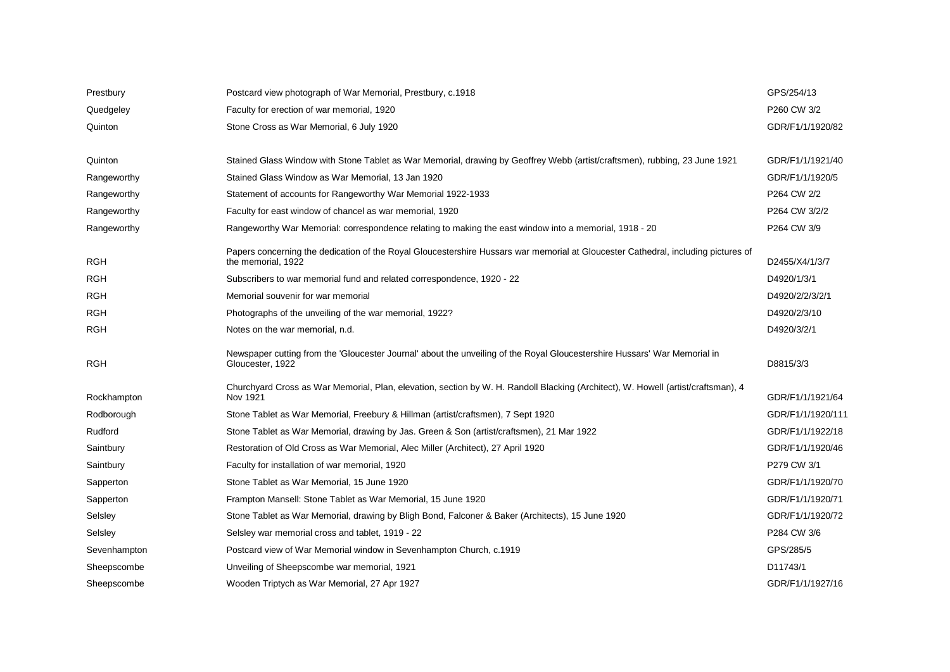| Prestbury    | Postcard view photograph of War Memorial, Prestbury, c.1918                                                                                             | GPS/254/13        |
|--------------|---------------------------------------------------------------------------------------------------------------------------------------------------------|-------------------|
| Quedgeley    | Faculty for erection of war memorial, 1920                                                                                                              | P260 CW 3/2       |
| Quinton      | Stone Cross as War Memorial, 6 July 1920                                                                                                                | GDR/F1/1/1920/82  |
|              |                                                                                                                                                         |                   |
| Quinton      | Stained Glass Window with Stone Tablet as War Memorial, drawing by Geoffrey Webb (artist/craftsmen), rubbing, 23 June 1921                              | GDR/F1/1/1921/40  |
| Rangeworthy  | Stained Glass Window as War Memorial, 13 Jan 1920                                                                                                       | GDR/F1/1/1920/5   |
| Rangeworthy  | Statement of accounts for Rangeworthy War Memorial 1922-1933                                                                                            | P264 CW 2/2       |
| Rangeworthy  | Faculty for east window of chancel as war memorial, 1920                                                                                                | P264 CW 3/2/2     |
| Rangeworthy  | Rangeworthy War Memorial: correspondence relating to making the east window into a memorial, 1918 - 20                                                  | P264 CW 3/9       |
| <b>RGH</b>   | Papers concerning the dedication of the Royal Gloucestershire Hussars war memorial at Gloucester Cathedral, including pictures of<br>the memorial, 1922 | D2455/X4/1/3/7    |
| <b>RGH</b>   | Subscribers to war memorial fund and related correspondence, 1920 - 22                                                                                  | D4920/1/3/1       |
| <b>RGH</b>   | Memorial souvenir for war memorial                                                                                                                      | D4920/2/2/3/2/1   |
| <b>RGH</b>   | Photographs of the unveiling of the war memorial, 1922?                                                                                                 | D4920/2/3/10      |
| RGH          | Notes on the war memorial, n.d.                                                                                                                         | D4920/3/2/1       |
| <b>RGH</b>   | Newspaper cutting from the 'Gloucester Journal' about the unveiling of the Royal Gloucestershire Hussars' War Memorial in<br>Gloucester, 1922           | D8815/3/3         |
| Rockhampton  | Churchyard Cross as War Memorial, Plan, elevation, section by W. H. Randoll Blacking (Architect), W. Howell (artist/craftsman), 4<br>Nov 1921           | GDR/F1/1/1921/64  |
| Rodborough   | Stone Tablet as War Memorial, Freebury & Hillman (artist/craftsmen), 7 Sept 1920                                                                        | GDR/F1/1/1920/111 |
| Rudford      | Stone Tablet as War Memorial, drawing by Jas. Green & Son (artist/craftsmen), 21 Mar 1922                                                               | GDR/F1/1/1922/18  |
| Saintbury    | Restoration of Old Cross as War Memorial, Alec Miller (Architect), 27 April 1920                                                                        | GDR/F1/1/1920/46  |
| Saintbury    | Faculty for installation of war memorial, 1920                                                                                                          | P279 CW 3/1       |
| Sapperton    | Stone Tablet as War Memorial, 15 June 1920                                                                                                              | GDR/F1/1/1920/70  |
| Sapperton    | Frampton Mansell: Stone Tablet as War Memorial, 15 June 1920                                                                                            | GDR/F1/1/1920/71  |
| Selsley      | Stone Tablet as War Memorial, drawing by Bligh Bond, Falconer & Baker (Architects), 15 June 1920                                                        | GDR/F1/1/1920/72  |
| Selsley      | Selsley war memorial cross and tablet, 1919 - 22                                                                                                        | P284 CW 3/6       |
| Sevenhampton | Postcard view of War Memorial window in Sevenhampton Church, c.1919                                                                                     | GPS/285/5         |
| Sheepscombe  | Unveiling of Sheepscombe war memorial, 1921                                                                                                             | D11743/1          |
| Sheepscombe  | Wooden Triptych as War Memorial, 27 Apr 1927                                                                                                            | GDR/F1/1/1927/16  |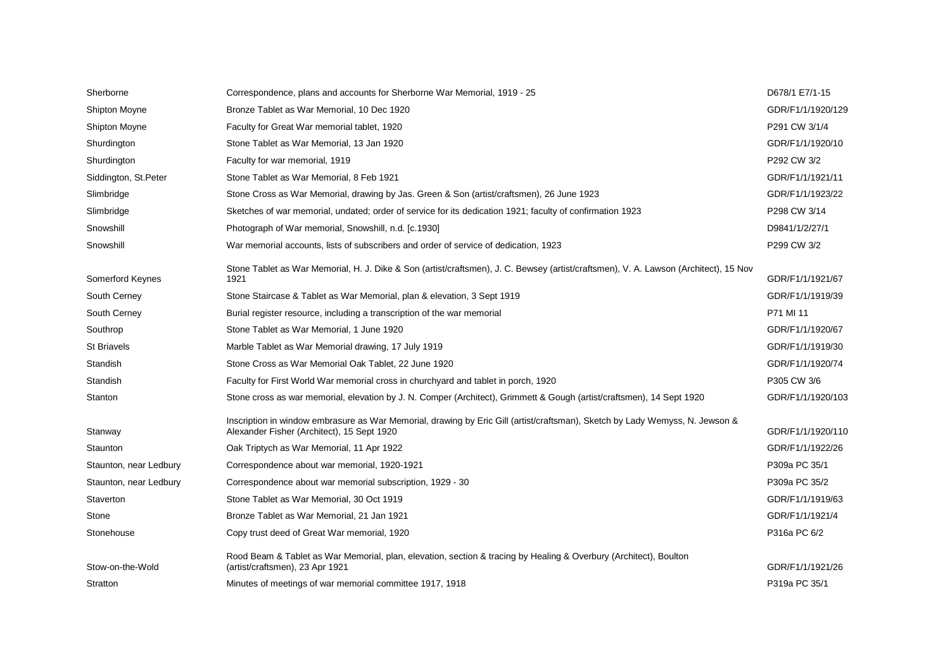| Sherborne              | Correspondence, plans and accounts for Sherborne War Memorial, 1919 - 25                                                                                                   | D678/1 E7/1-15    |
|------------------------|----------------------------------------------------------------------------------------------------------------------------------------------------------------------------|-------------------|
| <b>Shipton Moyne</b>   | Bronze Tablet as War Memorial, 10 Dec 1920                                                                                                                                 | GDR/F1/1/1920/129 |
| <b>Shipton Moyne</b>   | Faculty for Great War memorial tablet, 1920                                                                                                                                | P291 CW 3/1/4     |
| Shurdington            | Stone Tablet as War Memorial, 13 Jan 1920                                                                                                                                  | GDR/F1/1/1920/10  |
| Shurdington            | Faculty for war memorial, 1919                                                                                                                                             | P292 CW 3/2       |
| Siddington, St.Peter   | Stone Tablet as War Memorial, 8 Feb 1921                                                                                                                                   | GDR/F1/1/1921/11  |
| Slimbridge             | Stone Cross as War Memorial, drawing by Jas. Green & Son (artist/craftsmen), 26 June 1923                                                                                  | GDR/F1/1/1923/22  |
| Slimbridge             | Sketches of war memorial, undated; order of service for its dedication 1921; faculty of confirmation 1923                                                                  | P298 CW 3/14      |
| Snowshill              | Photograph of War memorial, Snowshill, n.d. [c.1930]                                                                                                                       | D9841/1/2/27/1    |
| Snowshill              | War memorial accounts, lists of subscribers and order of service of dedication, 1923                                                                                       | P299 CW 3/2       |
| Somerford Keynes       | Stone Tablet as War Memorial, H. J. Dike & Son (artist/craftsmen), J. C. Bewsey (artist/craftsmen), V. A. Lawson (Architect), 15 Nov<br>1921                               | GDR/F1/1/1921/67  |
| South Cerney           | Stone Staircase & Tablet as War Memorial, plan & elevation, 3 Sept 1919                                                                                                    | GDR/F1/1/1919/39  |
| South Cerney           | Burial register resource, including a transcription of the war memorial                                                                                                    | P71 MI 11         |
| Southrop               | Stone Tablet as War Memorial, 1 June 1920                                                                                                                                  | GDR/F1/1/1920/67  |
| <b>St Briavels</b>     | Marble Tablet as War Memorial drawing, 17 July 1919                                                                                                                        | GDR/F1/1/1919/30  |
| Standish               | Stone Cross as War Memorial Oak Tablet, 22 June 1920                                                                                                                       | GDR/F1/1/1920/74  |
| Standish               | Faculty for First World War memorial cross in churchyard and tablet in porch, 1920                                                                                         | P305 CW 3/6       |
| Stanton                | Stone cross as war memorial, elevation by J. N. Comper (Architect), Grimmett & Gough (artist/craftsmen), 14 Sept 1920                                                      | GDR/F1/1/1920/103 |
| Stanway                | Inscription in window embrasure as War Memorial, drawing by Eric Gill (artist/craftsman), Sketch by Lady Wemyss, N. Jewson &<br>Alexander Fisher (Architect), 15 Sept 1920 | GDR/F1/1/1920/110 |
| Staunton               | Oak Triptych as War Memorial, 11 Apr 1922                                                                                                                                  | GDR/F1/1/1922/26  |
| Staunton, near Ledbury | Correspondence about war memorial, 1920-1921                                                                                                                               | P309a PC 35/1     |
| Staunton, near Ledbury | Correspondence about war memorial subscription, 1929 - 30                                                                                                                  | P309a PC 35/2     |
| Staverton              | Stone Tablet as War Memorial, 30 Oct 1919                                                                                                                                  | GDR/F1/1/1919/63  |
| Stone                  | Bronze Tablet as War Memorial, 21 Jan 1921                                                                                                                                 | GDR/F1/1/1921/4   |
| Stonehouse             | Copy trust deed of Great War memorial, 1920                                                                                                                                | P316a PC 6/2      |
| Stow-on-the-Wold       | Rood Beam & Tablet as War Memorial, plan, elevation, section & tracing by Healing & Overbury (Architect), Boulton<br>(artist/craftsmen), 23 Apr 1921                       | GDR/F1/1/1921/26  |
| Stratton               | Minutes of meetings of war memorial committee 1917, 1918                                                                                                                   | P319a PC 35/1     |
|                        |                                                                                                                                                                            |                   |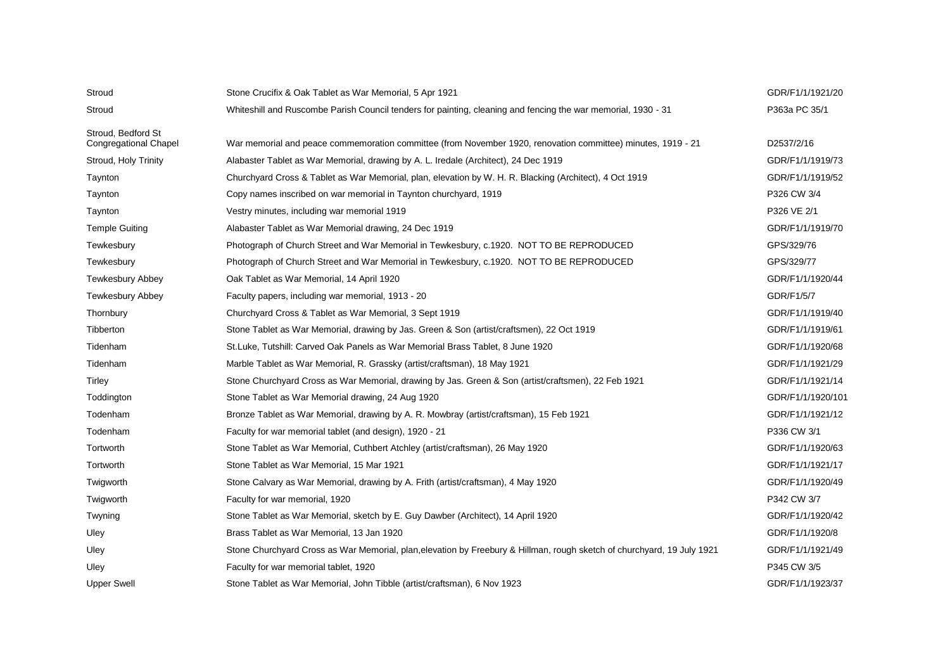| Stroud                       | Stone Crucifix & Oak Tablet as War Memorial, 5 Apr 1921                                                                 | GDR/F1/1/1921/20  |
|------------------------------|-------------------------------------------------------------------------------------------------------------------------|-------------------|
| Stroud                       | Whiteshill and Ruscombe Parish Council tenders for painting, cleaning and fencing the war memorial, 1930 - 31           | P363a PC 35/1     |
| Stroud, Bedford St           |                                                                                                                         |                   |
| <b>Congregational Chapel</b> | War memorial and peace commemoration committee (from November 1920, renovation committee) minutes, 1919 - 21            | D2537/2/16        |
| Stroud, Holy Trinity         | Alabaster Tablet as War Memorial, drawing by A. L. Iredale (Architect), 24 Dec 1919                                     | GDR/F1/1/1919/73  |
| Taynton                      | Churchyard Cross & Tablet as War Memorial, plan, elevation by W. H. R. Blacking (Architect), 4 Oct 1919                 | GDR/F1/1/1919/52  |
| Taynton                      | Copy names inscribed on war memorial in Taynton churchyard, 1919                                                        | P326 CW 3/4       |
| Taynton                      | Vestry minutes, including war memorial 1919                                                                             | P326 VE 2/1       |
| <b>Temple Guiting</b>        | Alabaster Tablet as War Memorial drawing, 24 Dec 1919                                                                   | GDR/F1/1/1919/70  |
| Tewkesbury                   | Photograph of Church Street and War Memorial in Tewkesbury, c.1920. NOT TO BE REPRODUCED                                | GPS/329/76        |
| Tewkesbury                   | Photograph of Church Street and War Memorial in Tewkesbury, c.1920. NOT TO BE REPRODUCED                                | GPS/329/77        |
| Tewkesbury Abbey             | Oak Tablet as War Memorial, 14 April 1920                                                                               | GDR/F1/1/1920/44  |
| <b>Tewkesbury Abbey</b>      | Faculty papers, including war memorial, 1913 - 20                                                                       | GDR/F1/5/7        |
| Thornbury                    | Churchyard Cross & Tablet as War Memorial, 3 Sept 1919                                                                  | GDR/F1/1/1919/40  |
| Tibberton                    | Stone Tablet as War Memorial, drawing by Jas. Green & Son (artist/craftsmen), 22 Oct 1919                               | GDR/F1/1/1919/61  |
| Tidenham                     | St.Luke, Tutshill: Carved Oak Panels as War Memorial Brass Tablet, 8 June 1920                                          | GDR/F1/1/1920/68  |
| Tidenham                     | Marble Tablet as War Memorial, R. Grassky (artist/craftsman), 18 May 1921                                               | GDR/F1/1/1921/29  |
| Tirley                       | Stone Churchyard Cross as War Memorial, drawing by Jas. Green & Son (artist/craftsmen), 22 Feb 1921                     | GDR/F1/1/1921/14  |
| Toddington                   | Stone Tablet as War Memorial drawing, 24 Aug 1920                                                                       | GDR/F1/1/1920/101 |
| Todenham                     | Bronze Tablet as War Memorial, drawing by A. R. Mowbray (artist/craftsman), 15 Feb 1921                                 | GDR/F1/1/1921/12  |
| Todenham                     | Faculty for war memorial tablet (and design), 1920 - 21                                                                 | P336 CW 3/1       |
| Tortworth                    | Stone Tablet as War Memorial, Cuthbert Atchley (artist/craftsman), 26 May 1920                                          | GDR/F1/1/1920/63  |
| Tortworth                    | Stone Tablet as War Memorial, 15 Mar 1921                                                                               | GDR/F1/1/1921/17  |
| Twigworth                    | Stone Calvary as War Memorial, drawing by A. Frith (artist/craftsman), 4 May 1920                                       | GDR/F1/1/1920/49  |
| Twigworth                    | Faculty for war memorial, 1920                                                                                          | P342 CW 3/7       |
| Twyning                      | Stone Tablet as War Memorial, sketch by E. Guy Dawber (Architect), 14 April 1920                                        | GDR/F1/1/1920/42  |
| Uley                         | Brass Tablet as War Memorial, 13 Jan 1920                                                                               | GDR/F1/1/1920/8   |
| Uley                         | Stone Churchyard Cross as War Memorial, plan, elevation by Freebury & Hillman, rough sketch of churchyard, 19 July 1921 | GDR/F1/1/1921/49  |
| Uley                         | Faculty for war memorial tablet, 1920                                                                                   | P345 CW 3/5       |
| <b>Upper Swell</b>           | Stone Tablet as War Memorial, John Tibble (artist/craftsman), 6 Nov 1923                                                | GDR/F1/1/1923/37  |
|                              |                                                                                                                         |                   |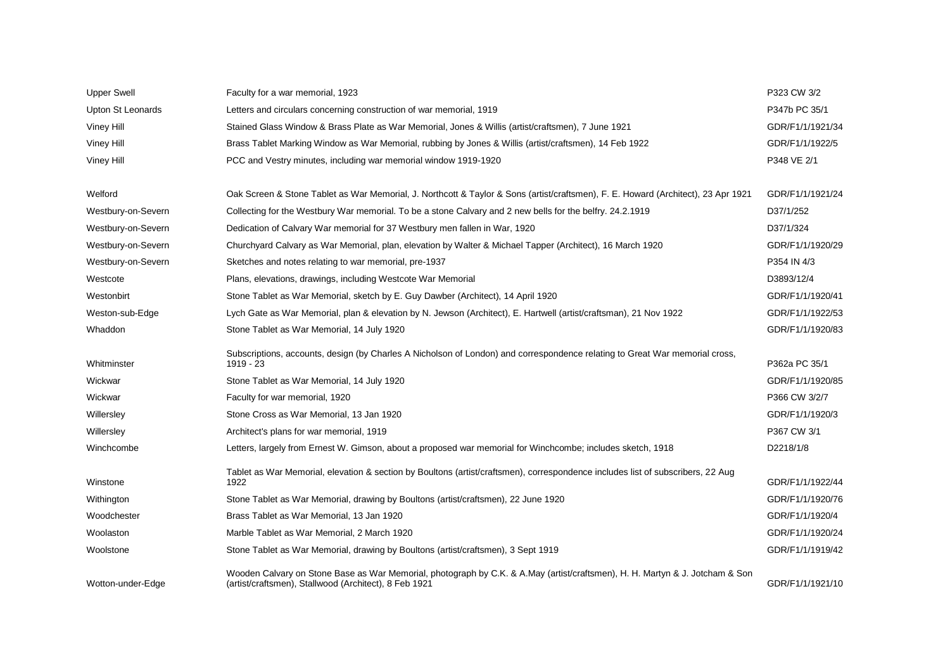| <b>Upper Swell</b> | Faculty for a war memorial, 1923                                                                                                                                                      | P323 CW 3/2      |
|--------------------|---------------------------------------------------------------------------------------------------------------------------------------------------------------------------------------|------------------|
| Upton St Leonards  | Letters and circulars concerning construction of war memorial, 1919                                                                                                                   | P347b PC 35/1    |
| Viney Hill         | Stained Glass Window & Brass Plate as War Memorial, Jones & Willis (artist/craftsmen), 7 June 1921                                                                                    | GDR/F1/1/1921/34 |
| Viney Hill         | Brass Tablet Marking Window as War Memorial, rubbing by Jones & Willis (artist/craftsmen), 14 Feb 1922                                                                                | GDR/F1/1/1922/5  |
| <b>Viney Hill</b>  | PCC and Vestry minutes, including war memorial window 1919-1920                                                                                                                       | P348 VE 2/1      |
|                    |                                                                                                                                                                                       |                  |
| Welford            | Oak Screen & Stone Tablet as War Memorial, J. Northcott & Taylor & Sons (artist/craftsmen), F. E. Howard (Architect), 23 Apr 1921                                                     | GDR/F1/1/1921/24 |
| Westbury-on-Severn | Collecting for the Westbury War memorial. To be a stone Calvary and 2 new bells for the belfry. 24.2.1919                                                                             | D37/1/252        |
| Westbury-on-Severn | Dedication of Calvary War memorial for 37 Westbury men fallen in War, 1920                                                                                                            | D37/1/324        |
| Westbury-on-Severn | Churchyard Calvary as War Memorial, plan, elevation by Walter & Michael Tapper (Architect), 16 March 1920                                                                             | GDR/F1/1/1920/29 |
| Westbury-on-Severn | Sketches and notes relating to war memorial, pre-1937                                                                                                                                 | P354 IN 4/3      |
| Westcote           | Plans, elevations, drawings, including Westcote War Memorial                                                                                                                          | D3893/12/4       |
| Westonbirt         | Stone Tablet as War Memorial, sketch by E. Guy Dawber (Architect), 14 April 1920                                                                                                      | GDR/F1/1/1920/41 |
| Weston-sub-Edge    | Lych Gate as War Memorial, plan & elevation by N. Jewson (Architect), E. Hartwell (artist/craftsman), 21 Nov 1922                                                                     | GDR/F1/1/1922/53 |
| Whaddon            | Stone Tablet as War Memorial, 14 July 1920                                                                                                                                            | GDR/F1/1/1920/83 |
|                    | Subscriptions, accounts, design (by Charles A Nicholson of London) and correspondence relating to Great War memorial cross,                                                           |                  |
| Whitminster        | 1919 - 23                                                                                                                                                                             | P362a PC 35/1    |
| Wickwar            | Stone Tablet as War Memorial, 14 July 1920                                                                                                                                            | GDR/F1/1/1920/85 |
| Wickwar            | Faculty for war memorial, 1920                                                                                                                                                        | P366 CW 3/2/7    |
| Willersley         | Stone Cross as War Memorial, 13 Jan 1920                                                                                                                                              | GDR/F1/1/1920/3  |
| Willersley         | Architect's plans for war memorial, 1919                                                                                                                                              | P367 CW 3/1      |
| Winchcombe         | Letters, largely from Ernest W. Gimson, about a proposed war memorial for Winchcombe; includes sketch, 1918                                                                           | D2218/1/8        |
| Winstone           | Tablet as War Memorial, elevation & section by Boultons (artist/craftsmen), correspondence includes list of subscribers, 22 Aug<br>1922                                               | GDR/F1/1/1922/44 |
| Withington         | Stone Tablet as War Memorial, drawing by Boultons (artist/craftsmen), 22 June 1920                                                                                                    | GDR/F1/1/1920/76 |
| Woodchester        | Brass Tablet as War Memorial, 13 Jan 1920                                                                                                                                             | GDR/F1/1/1920/4  |
| Woolaston          | Marble Tablet as War Memorial, 2 March 1920                                                                                                                                           | GDR/F1/1/1920/24 |
| Woolstone          | Stone Tablet as War Memorial, drawing by Boultons (artist/craftsmen), 3 Sept 1919                                                                                                     | GDR/F1/1/1919/42 |
| Wotton-under-Edge  | Wooden Calvary on Stone Base as War Memorial, photograph by C.K. & A.May (artist/craftsmen), H. H. Martyn & J. Jotcham & Son<br>(artist/craftsmen), Stallwood (Architect), 8 Feb 1921 | GDR/F1/1/1921/10 |